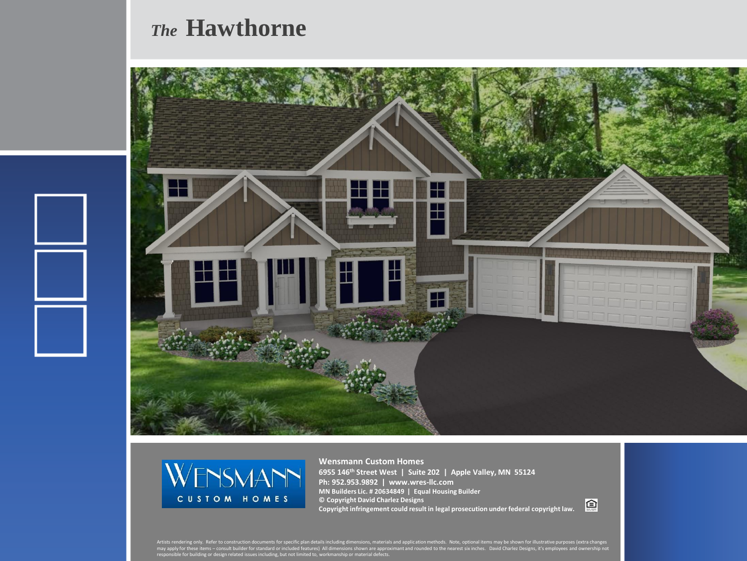## *The* **Hawthorne**





**Wensmann Custom Homes 6955 146th Street West | Suite 202 | Apple Valley, MN 55124 Ph: 952.953.9892 | www.wres-llc.com MN Builders Lic. # 20634849 | Equal Housing Builder © Copyright David Charlez Designs Copyright infringement could result in legal prosecution under federal copyright law.**

回

Artists rendering only. Refer to construction documents for specific plan details including dimensions, materials and application methods. Note, optional items may be shown for illustrative purposes (extra changes<br>may appl